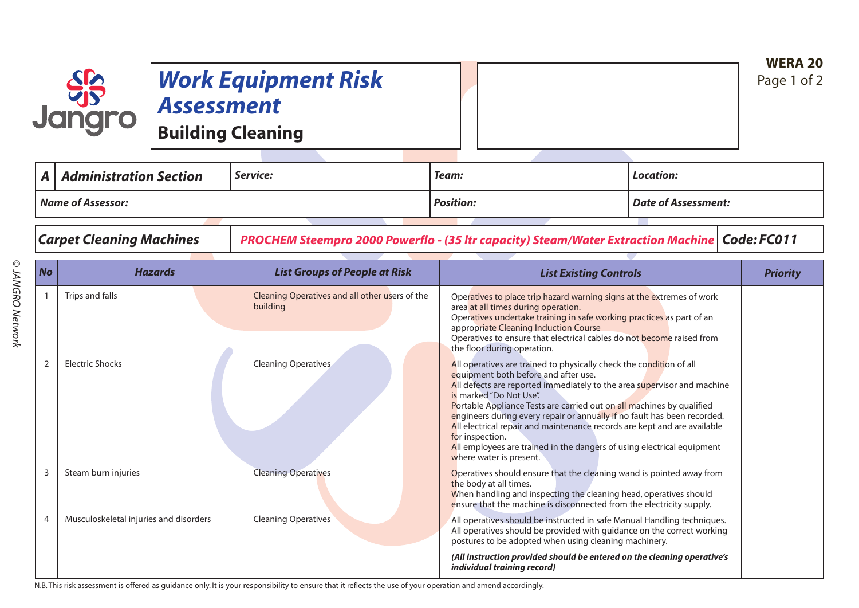## *Work Equipment Risk Assessment*

**Building Cleaning**

| $\mathsf{A}$      | $\mid$ Administration Section | Service: | Team:            | Location:           |  |
|-------------------|-------------------------------|----------|------------------|---------------------|--|
| Name of Assessor: |                               |          | <b>Position:</b> | Date of Assessment: |  |
|                   |                               |          |                  |                     |  |

**SSS**<br>Jangro

*Carpet Cleaning Machines PROCHEM Steempro 2000 Powerflo - (35 ltr capacity) Steam/Water Extraction Machine Code: FC011*

| <b>No</b> | <b>Hazards</b>                         | <b>List Groups of People at Risk</b>                       | <b>List Existing Controls</b>                                                                                                                                                                                                                                                                                                                                                                                                                                                                                                                                                                             | <b>Priority</b> |
|-----------|----------------------------------------|------------------------------------------------------------|-----------------------------------------------------------------------------------------------------------------------------------------------------------------------------------------------------------------------------------------------------------------------------------------------------------------------------------------------------------------------------------------------------------------------------------------------------------------------------------------------------------------------------------------------------------------------------------------------------------|-----------------|
|           | Trips and falls                        | Cleaning Operatives and all other users of the<br>building | Operatives to place trip hazard warning signs at the extremes of work<br>area at all times during operation.<br>Operatives undertake training in safe working practices as part of an<br>appropriate Cleaning Induction Course<br>Operatives to ensure that electrical cables do not become raised from                                                                                                                                                                                                                                                                                                   |                 |
| 2         | <b>Electric Shocks</b>                 | <b>Cleaning Operatives</b>                                 | the floor during operation.<br>All operatives are trained to physically check the condition of all<br>equipment both before and after use.<br>All defects are reported immediately to the area supervisor and machine<br>is marked "Do Not Use".<br>Portable Appliance Tests are carried out on all machines by qualified<br>engineers during every repair or annually if no fault has been recorded.<br>All electrical repair and maintenance records are kept and are available<br>for inspection.<br>All employees are trained in the dangers of using electrical equipment<br>where water is present. |                 |
| 3         | Steam burn injuries                    | <b>Cleaning Operatives</b>                                 | Operatives should ensure that the cleaning wand is pointed away from<br>the body at all times.<br>When handling and inspecting the cleaning head, operatives should<br>ensure that the machine is disconnected from the electricity supply.                                                                                                                                                                                                                                                                                                                                                               |                 |
|           | Musculoskeletal injuries and disorders | <b>Cleaning Operatives</b>                                 | All operatives should be instructed in safe Manual Handling techniques.<br>All operatives should be provided with guidance on the correct working<br>postures to be adopted when using cleaning machinery.                                                                                                                                                                                                                                                                                                                                                                                                |                 |
|           |                                        |                                                            | (All instruction provided should be entered on the cleaning operative's<br>individual training record)                                                                                                                                                                                                                                                                                                                                                                                                                                                                                                    |                 |

N.B.This risk assessment is offered as guidance only. It is your responsibility to ensure that it reflects the use of your operation and amend accordingly.

**WERA 20** Page 1 of 2